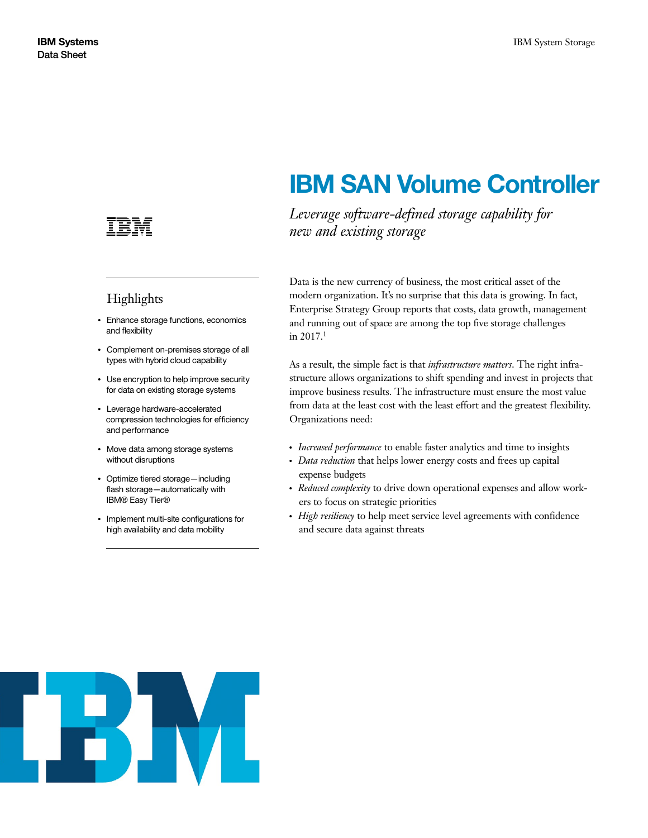

## Highlights

- Enhance storage functions, economics and flexibility
- Complement on-premises storage of all types with hybrid cloud capability
- Use encryption to help improve security for data on existing storage systems
- Leverage hardware-accelerated compression technologies for efficiency and performance
- Move data among storage systems without disruptions
- Optimize tiered storage—including flash storage—automatically with IBM® Easy Tier®
- Implement multi-site configurations for high availability and data mobility

# **IBM SAN Volume Controller**

*Leverage software-defined storage capability for new and existing storage*

Data is the new currency of business, the most critical asset of the modern organization. It's no surprise that this data is growing. In fact, Enterprise Strategy Group reports that costs, data growth, management and running out of space are among the top five storage challenges in 2017.1

As a result, the simple fact is that *infrastructure matters*. The right infrastructure allows organizations to shift spending and invest in projects that improve business results. The infrastructure must ensure the most value from data at the least cost with the least effort and the greatest flexibility. Organizations need:

- *Increased performance* to enable faster analytics and time to insights
- *Data reduction* that helps lower energy costs and frees up capital expense budgets
- *Reduced complexity* to drive down operational expenses and allow workers to focus on strategic priorities
- *High resiliency* to help meet service level agreements with confidence and secure data against threats

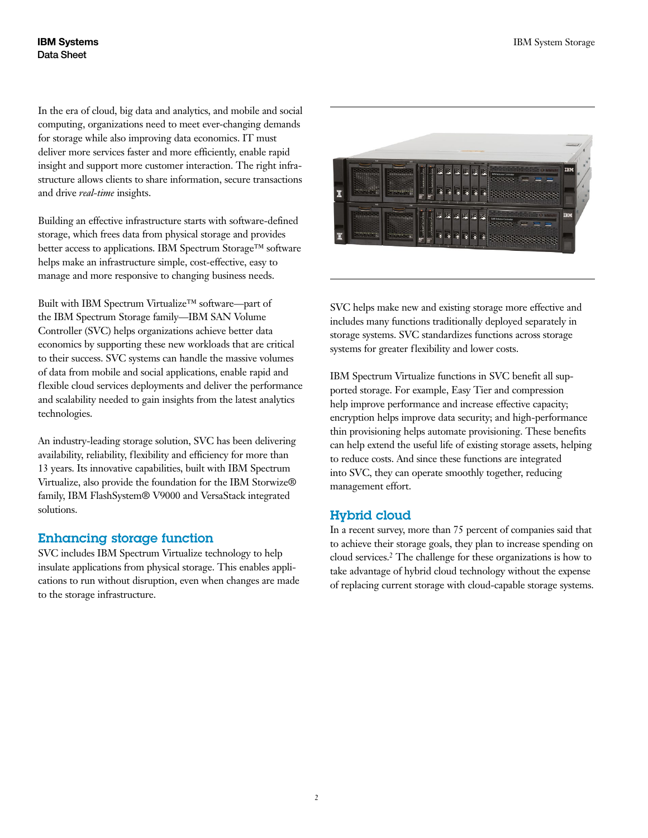In the era of cloud, big data and analytics, and mobile and social computing, organizations need to meet ever-changing demands for storage while also improving data economics. IT must deliver more services faster and more efficiently, enable rapid insight and support more customer interaction. The right infrastructure allows clients to share information, secure transactions and drive *real-time* insights.

Building an effective infrastructure starts with software-defined storage, which frees data from physical storage and provides better access to applications. IBM Spectrum Storage™ software helps make an infrastructure simple, cost-effective, easy to manage and more responsive to changing business needs.

Built with IBM Spectrum Virtualize™ software—part of the IBM Spectrum Storage family—IBM SAN Volume Controller (SVC) helps organizations achieve better data economics by supporting these new workloads that are critical to their success. SVC systems can handle the massive volumes of data from mobile and social applications, enable rapid and flexible cloud services deployments and deliver the performance and scalability needed to gain insights from the latest analytics technologies.

An industry-leading storage solution, SVC has been delivering availability, reliability, flexibility and efficiency for more than 13 years. Its innovative capabilities, built with IBM Spectrum Virtualize, also provide the foundation for the IBM Storwize® family, IBM FlashSystem® V9000 and VersaStack integrated solutions.

## Enhancing storage function

SVC includes IBM Spectrum Virtualize technology to help insulate applications from physical storage. This enables applications to run without disruption, even when changes are made to the storage infrastructure.



SVC helps make new and existing storage more effective and includes many functions traditionally deployed separately in storage systems. SVC standardizes functions across storage systems for greater flexibility and lower costs.

IBM Spectrum Virtualize functions in SVC benefit all supported storage. For example, Easy Tier and compression help improve performance and increase effective capacity; encryption helps improve data security; and high-performance thin provisioning helps automate provisioning. These benefits can help extend the useful life of existing storage assets, helping to reduce costs. And since these functions are integrated into SVC, they can operate smoothly together, reducing management effort.

## Hybrid cloud

In a recent survey, more than 75 percent of companies said that to achieve their storage goals, they plan to increase spending on cloud services.2 The challenge for these organizations is how to take advantage of hybrid cloud technology without the expense of replacing current storage with cloud-capable storage systems.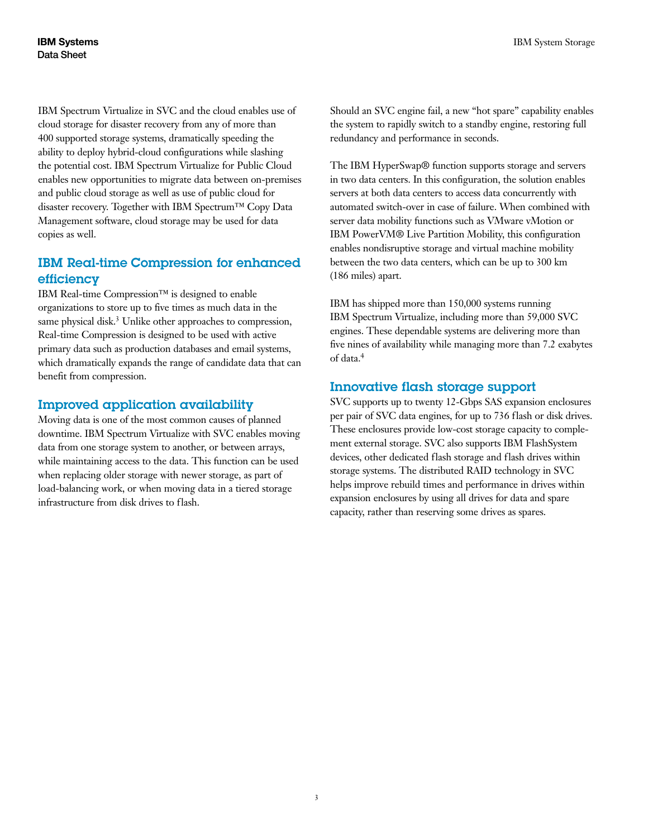IBM Spectrum Virtualize in SVC and the cloud enables use of cloud storage for disaster recovery from any of more than 400 supported storage systems, dramatically speeding the ability to deploy hybrid-cloud configurations while slashing the potential cost. IBM Spectrum Virtualize for Public Cloud enables new opportunities to migrate data between on-premises and public cloud storage as well as use of public cloud for disaster recovery. Together with IBM Spectrum™ Copy Data Management software, cloud storage may be used for data copies as well.

## IBM Real-time Compression for enhanced efficiency

IBM Real-time Compression™ is designed to enable organizations to store up to five times as much data in the same physical disk.<sup>3</sup> Unlike other approaches to compression, Real-time Compression is designed to be used with active primary data such as production databases and email systems, which dramatically expands the range of candidate data that can benefit from compression.

## Improved application availability

Moving data is one of the most common causes of planned downtime. IBM Spectrum Virtualize with SVC enables moving data from one storage system to another, or between arrays, while maintaining access to the data. This function can be used when replacing older storage with newer storage, as part of load-balancing work, or when moving data in a tiered storage infrastructure from disk drives to flash.

Should an SVC engine fail, a new "hot spare" capability enables the system to rapidly switch to a standby engine, restoring full redundancy and performance in seconds.

The IBM HyperSwap® function supports storage and servers in two data centers. In this configuration, the solution enables servers at both data centers to access data concurrently with automated switch-over in case of failure. When combined with server data mobility functions such as VMware vMotion or IBM PowerVM® Live Partition Mobility, this configuration enables nondisruptive storage and virtual machine mobility between the two data centers, which can be up to 300 km (186 miles) apart.

IBM has shipped more than 150,000 systems running IBM Spectrum Virtualize, including more than 59,000 SVC engines. These dependable systems are delivering more than five nines of availability while managing more than 7.2 exabytes of data.4

## Innovative flash storage support

SVC supports up to twenty 12-Gbps SAS expansion enclosures per pair of SVC data engines, for up to 736 flash or disk drives. These enclosures provide low-cost storage capacity to complement external storage. SVC also supports IBM FlashSystem devices, other dedicated flash storage and flash drives within storage systems. The distributed RAID technology in SVC helps improve rebuild times and performance in drives within expansion enclosures by using all drives for data and spare capacity, rather than reserving some drives as spares.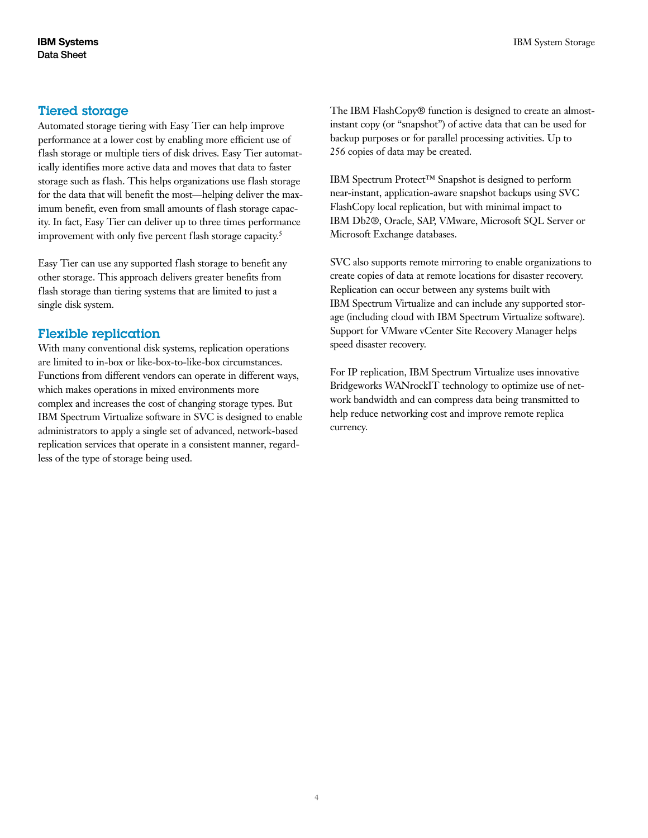#### Tiered storage

Automated storage tiering with Easy Tier can help improve performance at a lower cost by enabling more efficient use of flash storage or multiple tiers of disk drives. Easy Tier automatically identifies more active data and moves that data to faster storage such as flash. This helps organizations use flash storage for the data that will benefit the most—helping deliver the maximum benefit, even from small amounts of flash storage capacity. In fact, Easy Tier can deliver up to three times performance improvement with only five percent flash storage capacity.<sup>5</sup>

Easy Tier can use any supported flash storage to benefit any other storage. This approach delivers greater benefits from flash storage than tiering systems that are limited to just a single disk system.

#### Flexible replication

With many conventional disk systems, replication operations are limited to in-box or like-box-to-like-box circumstances. Functions from different vendors can operate in different ways, which makes operations in mixed environments more complex and increases the cost of changing storage types. But IBM Spectrum Virtualize software in SVC is designed to enable administrators to apply a single set of advanced, network-based replication services that operate in a consistent manner, regardless of the type of storage being used.

The IBM FlashCopy<sup>®</sup> function is designed to create an almostinstant copy (or "snapshot") of active data that can be used for backup purposes or for parallel processing activities. Up to 256 copies of data may be created.

IBM Spectrum Protect™ Snapshot is designed to perform near-instant, application-aware snapshot backups using SVC FlashCopy local replication, but with minimal impact to IBM Db2®, Oracle, SAP, VMware, Microsoft SQL Server or Microsoft Exchange databases.

SVC also supports remote mirroring to enable organizations to create copies of data at remote locations for disaster recovery. Replication can occur between any systems built with IBM Spectrum Virtualize and can include any supported storage (including cloud with IBM Spectrum Virtualize software). Support for VMware vCenter Site Recovery Manager helps speed disaster recovery.

For IP replication, IBM Spectrum Virtualize uses innovative Bridgeworks WANrockIT technology to optimize use of network bandwidth and can compress data being transmitted to help reduce networking cost and improve remote replica currency.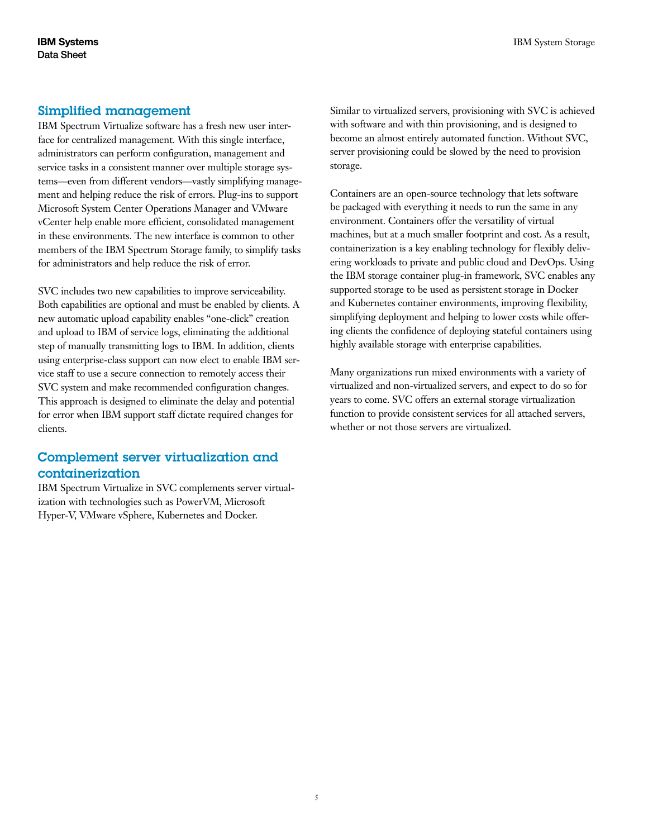#### Simplified management

IBM Spectrum Virtualize software has a fresh new user interface for centralized management. With this single interface, administrators can perform configuration, management and service tasks in a consistent manner over multiple storage systems—even from different vendors—vastly simplifying management and helping reduce the risk of errors. Plug-ins to support Microsoft System Center Operations Manager and VMware vCenter help enable more efficient, consolidated management in these environments. The new interface is common to other members of the IBM Spectrum Storage family, to simplify tasks for administrators and help reduce the risk of error.

SVC includes two new capabilities to improve serviceability. Both capabilities are optional and must be enabled by clients. A new automatic upload capability enables "one-click" creation and upload to IBM of service logs, eliminating the additional step of manually transmitting logs to IBM. In addition, clients using enterprise-class support can now elect to enable IBM service staff to use a secure connection to remotely access their SVC system and make recommended configuration changes. This approach is designed to eliminate the delay and potential for error when IBM support staff dictate required changes for clients.

## Complement server virtualization and containerization

IBM Spectrum Virtualize in SVC complements server virtualization with technologies such as PowerVM, Microsoft Hyper-V, VMware vSphere, Kubernetes and Docker.

Similar to virtualized servers, provisioning with SVC is achieved with software and with thin provisioning, and is designed to become an almost entirely automated function. Without SVC, server provisioning could be slowed by the need to provision storage.

Containers are an open-source technology that lets software be packaged with everything it needs to run the same in any environment. Containers offer the versatility of virtual machines, but at a much smaller footprint and cost. As a result, containerization is a key enabling technology for flexibly delivering workloads to private and public cloud and DevOps. Using the IBM storage container plug-in framework, SVC enables any supported storage to be used as persistent storage in Docker and Kubernetes container environments, improving flexibility, simplifying deployment and helping to lower costs while offering clients the confidence of deploying stateful containers using highly available storage with enterprise capabilities.

Many organizations run mixed environments with a variety of virtualized and non-virtualized servers, and expect to do so for years to come. SVC offers an external storage virtualization function to provide consistent services for all attached servers, whether or not those servers are virtualized.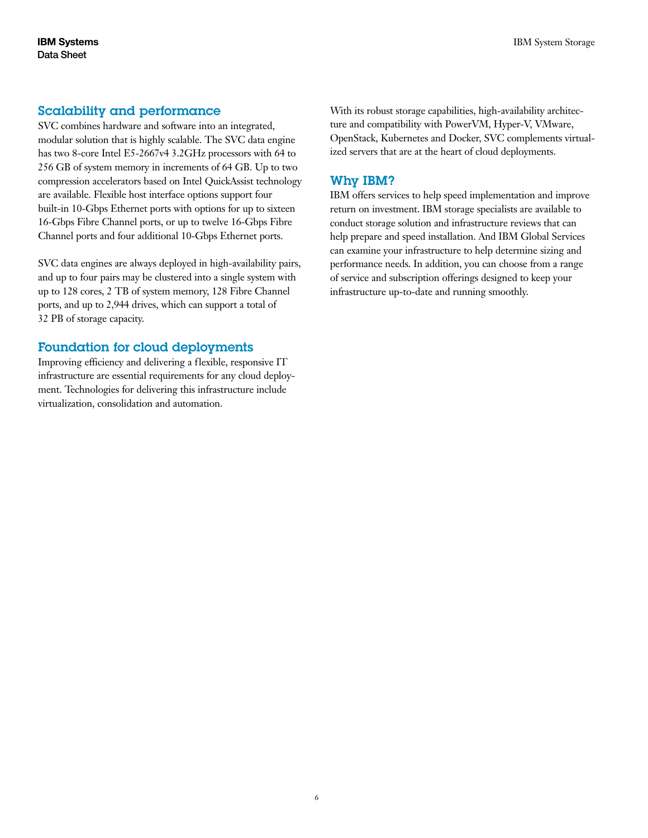#### Scalability and performance

SVC combines hardware and software into an integrated, modular solution that is highly scalable. The SVC data engine has two 8-core Intel E5-2667v4 3.2GHz processors with 64 to 256 GB of system memory in increments of 64 GB. Up to two compression accelerators based on Intel QuickAssist technology are available. Flexible host interface options support four built-in 10-Gbps Ethernet ports with options for up to sixteen 16-Gbps Fibre Channel ports, or up to twelve 16-Gbps Fibre Channel ports and four additional 10-Gbps Ethernet ports.

SVC data engines are always deployed in high-availability pairs, and up to four pairs may be clustered into a single system with up to 128 cores, 2 TB of system memory, 128 Fibre Channel ports, and up to 2,944 drives, which can support a total of 32 PB of storage capacity.

#### Foundation for cloud deployments

Improving efficiency and delivering a flexible, responsive IT infrastructure are essential requirements for any cloud deployment. Technologies for delivering this infrastructure include virtualization, consolidation and automation.

With its robust storage capabilities, high-availability architecture and compatibility with PowerVM, Hyper-V, VMware, OpenStack, Kubernetes and Docker, SVC complements virtualized servers that are at the heart of cloud deployments.

#### Why IBM?

IBM offers services to help speed implementation and improve return on investment. IBM storage specialists are available to conduct storage solution and infrastructure reviews that can help prepare and speed installation. And IBM Global Services can examine your infrastructure to help determine sizing and performance needs. In addition, you can choose from a range of service and subscription offerings designed to keep your infrastructure up-to- date and running smoothly.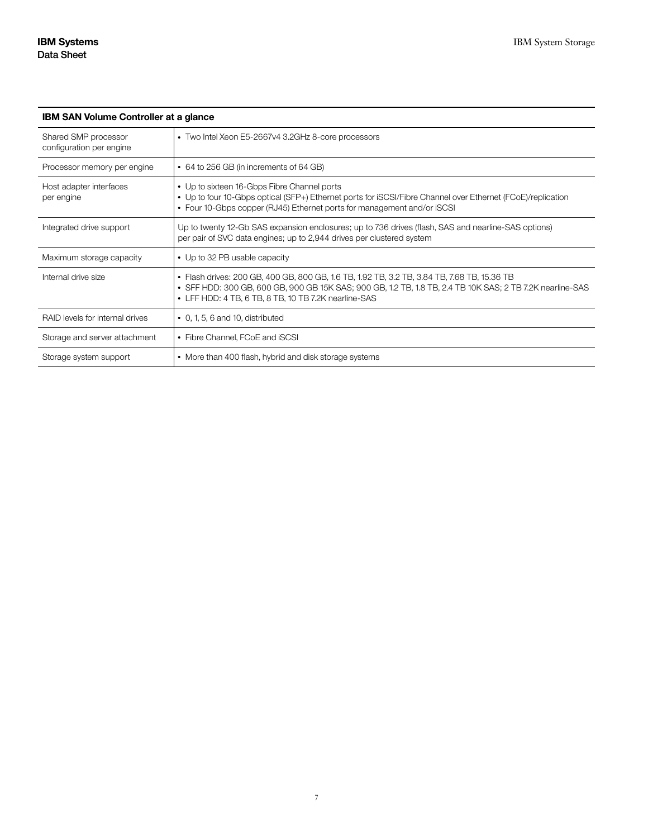| <b>IBM SAN Volume Controller at a glance</b>     |                                                                                                                                                                                                                                                                  |
|--------------------------------------------------|------------------------------------------------------------------------------------------------------------------------------------------------------------------------------------------------------------------------------------------------------------------|
| Shared SMP processor<br>configuration per engine | • Two Intel Xeon E5-2667v4 3.2GHz 8-core processors                                                                                                                                                                                                              |
| Processor memory per engine                      | • 64 to 256 GB (in increments of 64 GB)                                                                                                                                                                                                                          |
| Host adapter interfaces<br>per engine            | • Up to sixteen 16-Gbps Fibre Channel ports<br>• Up to four 10-Gbps optical (SFP+) Ethernet ports for iSCSI/Fibre Channel over Ethernet (FCoE)/replication<br>• Four 10-Gbps copper (RJ45) Ethernet ports for management and/or iSCSI                            |
| Integrated drive support                         | Up to twenty 12-Gb SAS expansion enclosures; up to 736 drives (flash, SAS and nearline-SAS options)<br>per pair of SVC data engines; up to 2,944 drives per clustered system                                                                                     |
| Maximum storage capacity                         | • Up to 32 PB usable capacity                                                                                                                                                                                                                                    |
| Internal drive size                              | • Flash drives: 200 GB, 400 GB, 800 GB, 1.6 TB, 1.92 TB, 3.2 TB, 3.84 TB, 7.68 TB, 15.36 TB<br>• SFF HDD: 300 GB, 600 GB, 900 GB 15K SAS; 900 GB, 1.2 TB, 1.8 TB, 2.4 TB 10K SAS; 2 TB 7.2K nearline-SAS<br>• LFF HDD: 4 TB, 6 TB, 8 TB, 10 TB 7.2K nearline-SAS |
| RAID levels for internal drives                  | $\bullet$ 0, 1, 5, 6 and 10, distributed                                                                                                                                                                                                                         |
| Storage and server attachment                    | • Fibre Channel, FCoE and iSCSI                                                                                                                                                                                                                                  |
| Storage system support                           | • More than 400 flash, hybrid and disk storage systems                                                                                                                                                                                                           |